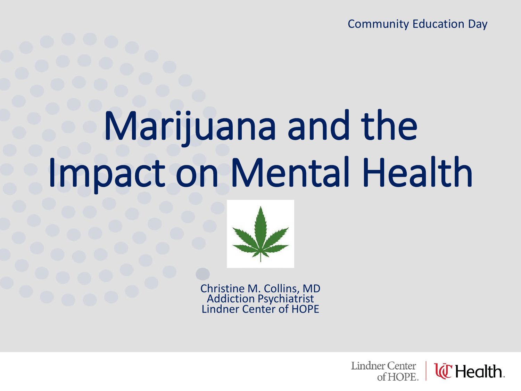Community Education Day

# Marijuana and the Impact on Mental Health



Christine M. Collins, MD Addiction Psychiatrist Lindner Center of HOPE

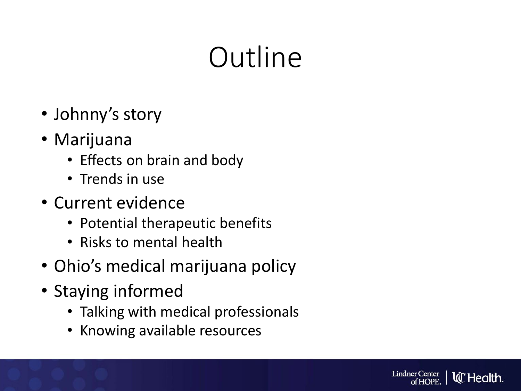## Outline

**Lindner Center** 

**l@ Health**.

- Johnny's story
- Marijuana
	- Effects on brain and body
	- Trends in use
- Current evidence
	- Potential therapeutic benefits
	- Risks to mental health
- Ohio's medical marijuana policy
- Staying informed
	- Talking with medical professionals
	- Knowing available resources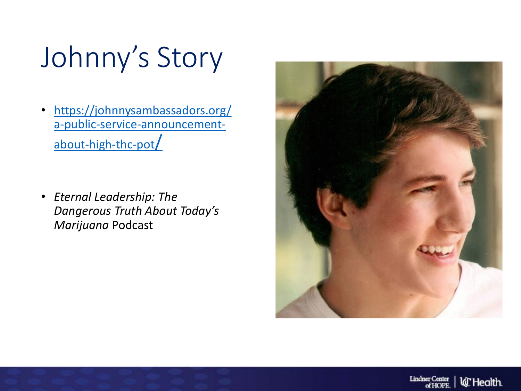## Johnny's Story

- https://johnnysambassadors.org/ [a-public-service-announcement](https://johnnysambassadors.org/a-public-service-announcement-about-high-thc-pot/)about-high-thc-pot/
- *Eternal Leadership: The Dangerous Truth About Today's Marijuana* Podcast

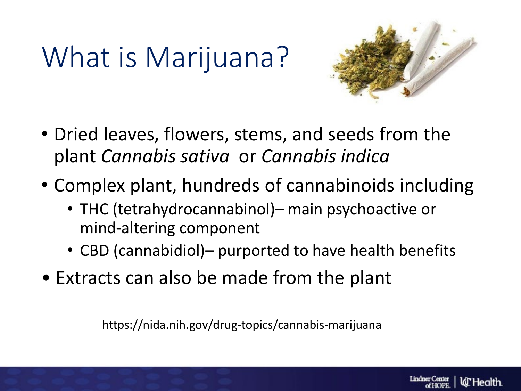## What is Marijuana?



- Dried leaves, flowers, stems, and seeds from the plant *Cannabis sativa* or *Cannabis indica*
- Complex plant, hundreds of cannabinoids including
	- THC (tetrahydrocannabinol)– main psychoactive or mind-altering component
	- CBD (cannabidiol)– purported to have health benefits
- Extracts can also be made from the plant

https://nida.nih.gov/drug-topics/cannabis-marijuana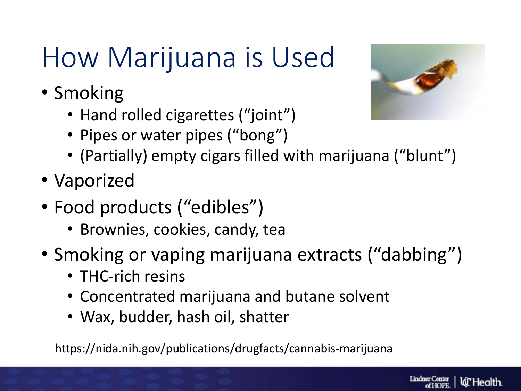### How Marijuana is Used

- Smoking
	- Hand rolled cigarettes ("joint")
	- Pipes or water pipes ("bong")



**Lindner Center** 

**ld** Health

- (Partially) empty cigars filled with marijuana ("blunt")
- Vaporized
- Food products ("edibles")
	- Brownies, cookies, candy, tea
- Smoking or vaping marijuana extracts ("dabbing")
	- THC-rich resins
	- Concentrated marijuana and butane solvent
	- Wax, budder, hash oil, shatter

https://nida.nih.gov/publications/drugfacts/cannabis-marijuana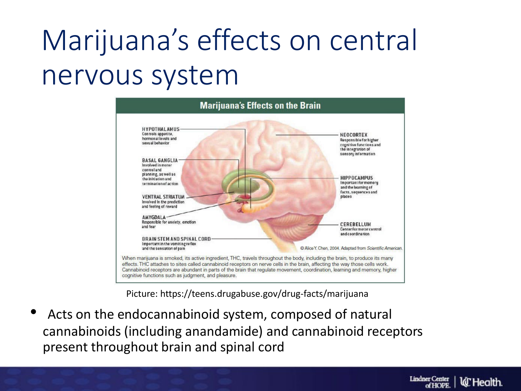## Marijuana's effects on central nervous system



Picture: https://teens.drugabuse.gov/drug-facts/marijuana

**Lindner Center** 

of HOPE

**la** Health.

Acts on the endocannabinoid system, composed of natural cannabinoids (including anandamide) and cannabinoid receptors present throughout brain and spinal cord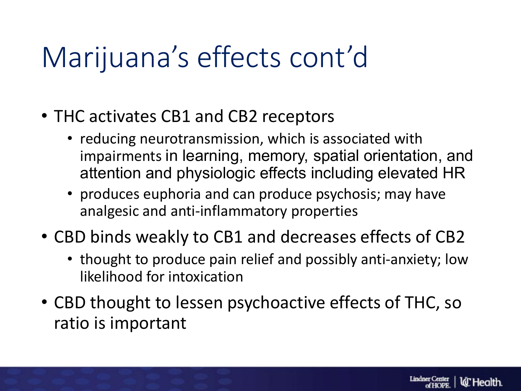### Marijuana's effects cont'd

- THC activates CB1 and CB2 receptors
	- reducing neurotransmission, which is associated with impairments in learning, memory, spatial orientation, and attention and physiologic effects including elevated HR
	- produces euphoria and can produce psychosis; may have analgesic and anti-inflammatory properties
- CBD binds weakly to CB1 and decreases effects of CB2
	- thought to produce pain relief and possibly anti-anxiety; low likelihood for intoxication
- CBD thought to lessen psychoactive effects of THC, so ratio is important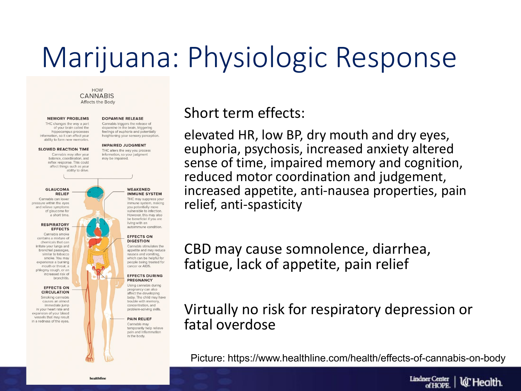## Marijuana: Physiologic Response

**HOW CANNABIS** Affects the Body

### **MEMORY PROBLEMS**

THC changes the way a part of your brain called the hippocampus processes information, so it can affect your ability to form new memories.

**IMPAIRED JUDGMENT** THC alters the way you process information, so your judgment

may be impaired.

**DOPAMINE RELEASE** 

Cannabis triggers the release of

dopamine in the brain, triggering

feelings of euphoria and potentially

heightening your sensory perception.

SLOWED REACTION TIME Cannabis may alter your balance, coordination, and reflex response. This could affect things such as your ability to drive.

> **GLAUCOMA RELIEF**

Cannabis can lower pressure within the eyes and relieve symptoms of glaucoma for a short time.

### **RESPIRATORY EFFECTS**

Cannabis smoke contains a mixture of chemicals that can irritate your lungs and bronchial passages, similar to tobacco smoke. You may experience a burning mouth or throat, a phleamy cough, or an increased risk of bronchitis.

### **EFFECTS ON CIRCULATION**

Smoking cannabis causes an almost immediate jump in your heart rate and expansion of your blood vessels that may result in a redness of the eyes. **WEAKENED IMMUNE SYSTEM** 

THC may suppress your immune system, making you potentially more vulnerable to infection However, this may also be beneficial if you are living with an autoimmune condition.

### **EFFECTS ON DIGESTION**

Cannabis stimulates the appetite and may reduce nausea and vomiting. which can be helpful for people being treated for cancer or AIDS.

**EFFECTS DURING PREGNANCY** 

Using cannabis during pregnancy can also affect the developing baby. The child may have trouble with memory. concentration, and problem-solving skills.

### **PAIN RELIEF**

Cannabis may temporarily help relieve pain and inflammation in the body.

### Short term effects:

elevated HR, low BP, dry mouth and dry eyes, euphoria, psychosis, increased anxiety altered sense of time, impaired memory and cognition, reduced motor coordination and judgement, increased appetite, anti-nausea properties, pain relief, anti-spasticity

CBD may cause somnolence, diarrhea, fatigue, lack of appetite, pain relief

### Virtually no risk for respiratory depression or fatal overdose

Picture: https://www.healthline.com/health/effects-of-cannabis-on-body

**Lindner Center** 

of HOPE.

**W** Health.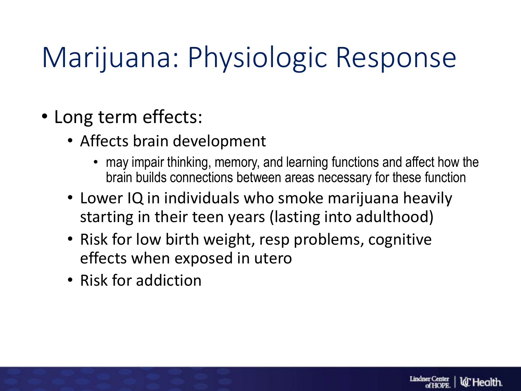## Marijuana: Physiologic Response

- Long term effects:
	- Affects brain development
		- may impair thinking, memory, and learning functions and affect how the brain builds connections between areas necessary for these function
	- Lower IQ in individuals who smoke marijuana heavily starting in their teen years (lasting into adulthood)
	- Risk for low birth weight, resp problems, cognitive effects when exposed in utero
	- Risk for addiction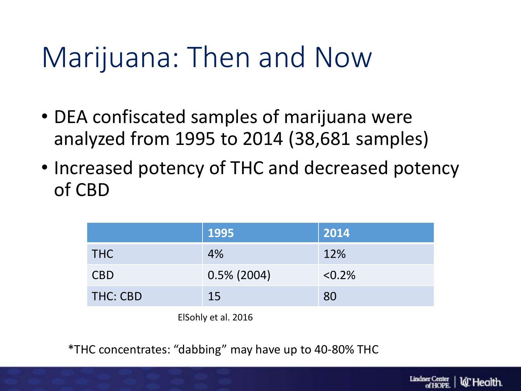### Marijuana: Then and Now

- DEA confiscated samples of marijuana were analyzed from 1995 to 2014 (38,681 samples)
- Increased potency of THC and decreased potency of CBD

|                 | 1995           | 2014      |
|-----------------|----------------|-----------|
| <b>THC</b>      | 4%             | 12%       |
| <b>CBD</b>      | $0.5\%$ (2004) | $< 0.2\%$ |
| <b>THC: CBD</b> | 15             | 80        |

ElSohly et al. 2016

\*THC concentrates: "dabbing" may have up to 40-80% THC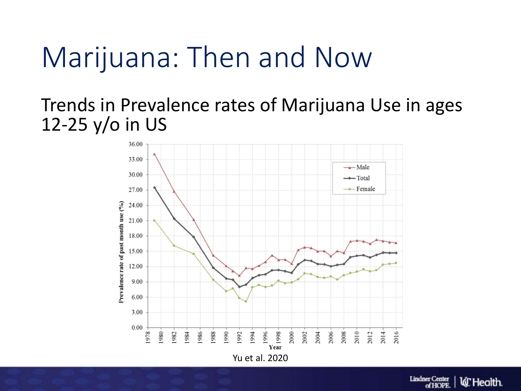### Marijuana: Then and Now

### Trends in Prevalence rates of Marijuana Use in ages 12-25 y/o in US



**Lindner Center l***C* Health. of HOPE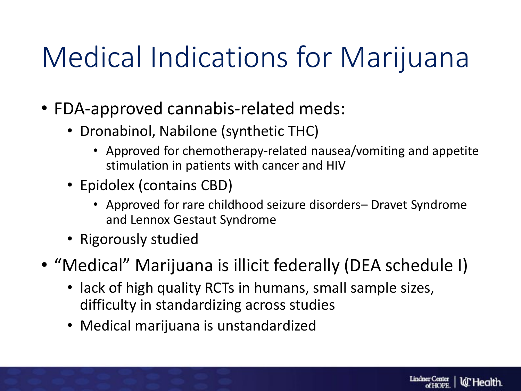## Medical Indications for Marijuana

- FDA-approved cannabis-related meds:
	- Dronabinol, Nabilone (synthetic THC)
		- Approved for chemotherapy-related nausea/vomiting and appetite stimulation in patients with cancer and HIV
	- Epidolex (contains CBD)
		- Approved for rare childhood seizure disorders– Dravet Syndrome and Lennox Gestaut Syndrome
	- Rigorously studied
- "Medical" Marijuana is illicit federally (DEA schedule I)
	- lack of high quality RCTs in humans, small sample sizes, difficulty in standardizing across studies
	- Medical marijuana is unstandardized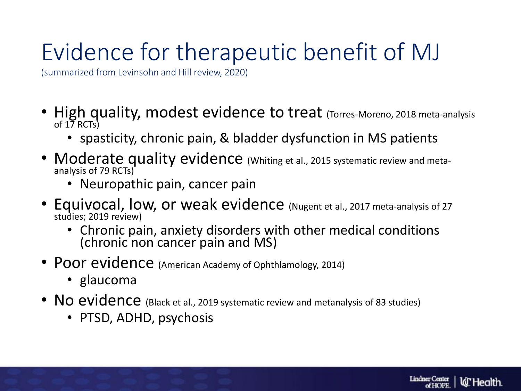### Evidence for therapeutic benefit of MJ

(summarized from Levinsohn and Hill review, 2020)

- High quality, modest evidence to treat (Torres-Moreno, 2018 meta-analysis of 17 RCTs)
	- spasticity, chronic pain, & bladder dysfunction in MS patients
- Moderate quality evidence (Whiting et al., 2015 systematic review and meta-<br>analysis of 79 RCTs)
	- Neuropathic pain, cancer pain
- Equivocal, low, or weak evidence (Nugent et al., 2017 meta-analysis of 27 studies; 2019 review)
	- Chronic pain, anxiety disorders with other medical conditions (chronic non cancer pain and MS)
- Poor evidence (American Academy of Ophthlamology, 2014)
	- glaucoma
- No evidence (Black et al., 2019 systematic review and metanalysis of 83 studies)
	- PTSD, ADHD, psychosis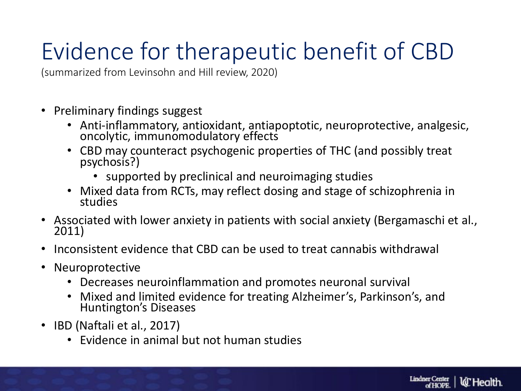### Evidence for therapeutic benefit of CBD

(summarized from Levinsohn and Hill review, 2020)

- Preliminary findings suggest
	- Anti-inflammatory, antioxidant, antiapoptotic, neuroprotective, analgesic, oncolytic, immunomodulatory effects
	- CBD may counteract psychogenic properties of THC (and possibly treat psychosis?)
		- supported by preclinical and neuroimaging studies
	- Mixed data from RCTs, may reflect dosing and stage of schizophrenia in studies
- Associated with lower anxiety in patients with social anxiety (Bergamaschi et al., 2011)
- Inconsistent evidence that CBD can be used to treat cannabis withdrawal
- Neuroprotective
	- Decreases neuroinflammation and promotes neuronal survival
	- Mixed and limited evidence for treating Alzheimer's, Parkinson's, and Huntington's Diseases
- IBD (Naftali et al., 2017)
	- Evidence in animal but not human studies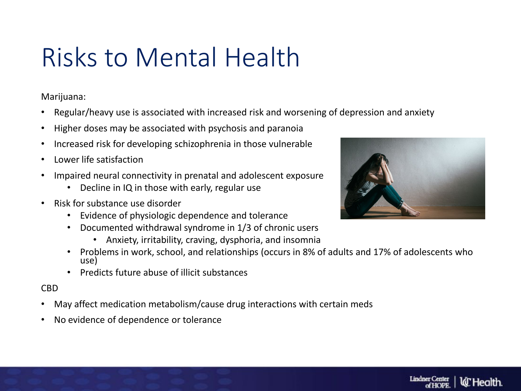### Risks to Mental Health

Marijuana:

- Regular/heavy use is associated with increased risk and worsening of depression and anxiety
- Higher doses may be associated with psychosis and paranoia
- Increased risk for developing schizophrenia in those vulnerable
- Lower life satisfaction
- Impaired neural connectivity in prenatal and adolescent exposure
	- Decline in IQ in those with early, regular use
- Risk for substance use disorder
	- Evidence of physiologic dependence and tolerance
	- Documented withdrawal syndrome in 1/3 of chronic users
		- Anxiety, irritability, craving, dysphoria, and insomnia
	- Problems in work, school, and relationships (occurs in 8% of adults and 17% of adolescents who use)
	- Predicts future abuse of illicit substances

### CBD

- May affect medication metabolism/cause drug interactions with certain meds
- No evidence of dependence or tolerance

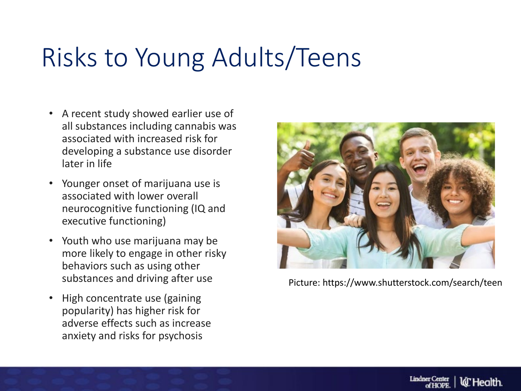### Risks to Young Adults/Teens

- A recent study showed earlier use of all substances including cannabis was associated with increased risk for developing a substance use disorder later in life
- Younger onset of marijuana use is associated with lower overall neurocognitive functioning (IQ and executive functioning)
- Youth who use marijuana may be more likely to engage in other risky behaviors such as using other substances and driving after use
- High concentrate use (gaining popularity) has higher risk for adverse effects such as increase anxiety and risks for psychosis



Picture: https://www.shutterstock.com/search/teen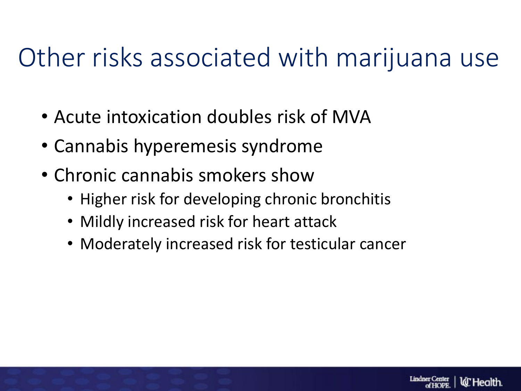### Other risks associated with marijuana use

- Acute intoxication doubles risk of MVA
- Cannabis hyperemesis syndrome
- Chronic cannabis smokers show
	- Higher risk for developing chronic bronchitis
	- Mildly increased risk for heart attack
	- Moderately increased risk for testicular cancer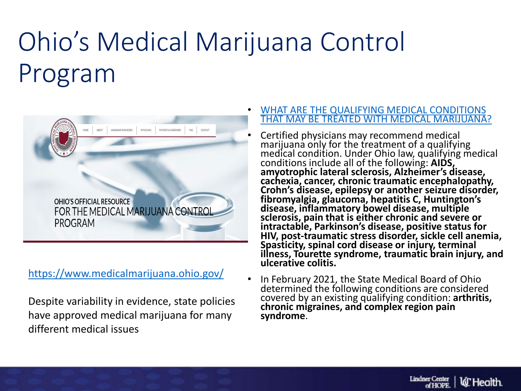### Ohio's Medical Marijuana Control Program



### <https://www.medicalmarijuana.ohio.gov/>

Despite variability in evidence, state policies have approved medical marijuana for many different medical issues

### • WHAT ARE THE QUALIFYING MEDICAL CONDITIONS [THAT MAY BE TREATED WITH MEDICAL MARIJUANA?](https://www.medicalmarijuana.ohio.gov/faqs)

- Certified physicians may recommend medical marijuana only for the treatment of a qualifying medical condition. Under Ohio law, qualifying medical conditions include all of the following: **AIDS, amyotrophic lateral sclerosis, Alzheimer's disease, cachexia, cancer, chronic traumatic encephalopathy, Crohn's disease, epilepsy or another seizure disorder, fibromyalgia, glaucoma, hepatitis C, Huntington's disease, inflammatory bowel disease, multiple sclerosis, pain that is either chronic and severe or intractable, Parkinson's disease, positive status for HIV, post-traumatic stress disorder, sickle cell anemia, Spasticity, spinal cord disease or injury, terminal illness, Tourette syndrome, traumatic brain injury, and ulcerative colitis.**
- In February 2021, the State Medical Board of Ohio determined the following conditions are considered covered by an existing qualifying condition: **arthritis, chronic migraines, and complex region pain syndrome**.

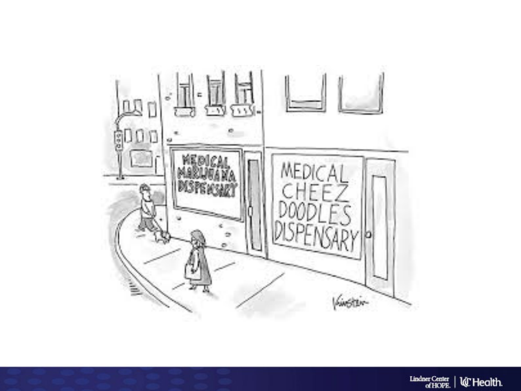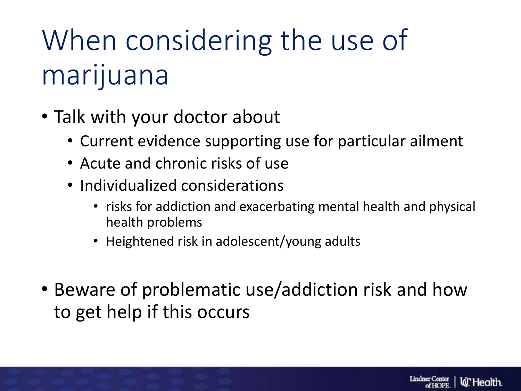## When considering the use of marijuana

- Talk with your doctor about
	- Current evidence supporting use for particular ailment
	- Acute and chronic risks of use
	- Individualized considerations
		- risks for addiction and exacerbating mental health and physical health problems
		- Heightened risk in adolescent/young adults
- Beware of problematic use/addiction risk and how to get help if this occurs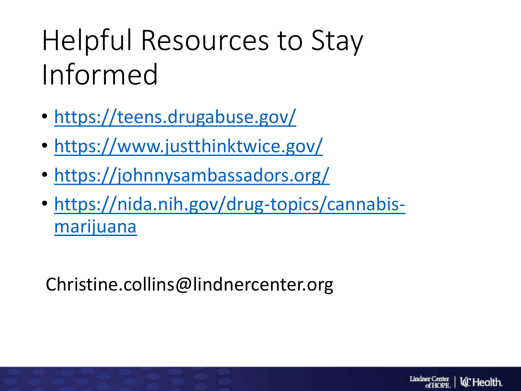## Helpful Resources to Stay Informed

- <https://teens.drugabuse.gov/>
- <https://www.justthinktwice.gov/>
- <https://johnnysambassadors.org/>
- [https://nida.nih.gov/drug-topics/cannabis](https://nida.nih.gov/drug-topics/cannabis-marijuana)marijuana

Christine.collins@lindnercenter.org

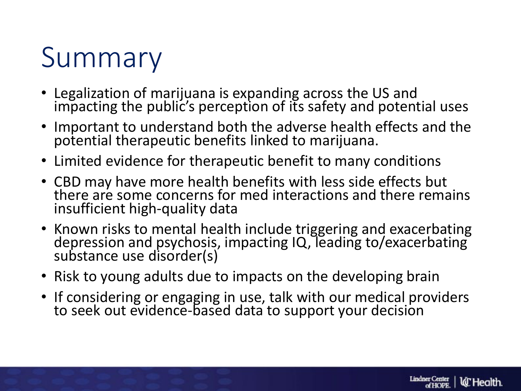## Summary

- Legalization of marijuana is expanding across the US and impacting the public's perception of its safety and potential uses
- Important to understand both the adverse health effects and the potential therapeutic benefits linked to marijuana.
- Limited evidence for therapeutic benefit to many conditions
- CBD may have more health benefits with less side effects but there are some concerns for med interactions and there remains insufficient high-quality data
- Known risks to mental health include triggering and exacerbating depression and psychosis, impacting IQ, leading to/exacerbating substance use disorder(s)
- Risk to young adults due to impacts on the developing brain
- If considering or engaging in use, talk with our medical providers to seek out evidence-based data to support your decision